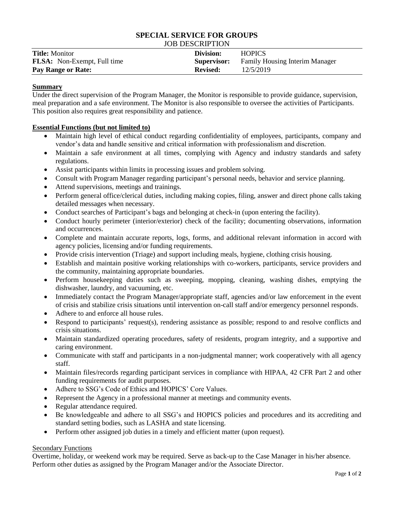#### **SPECIAL SERVICE FOR GROUPS** JOB DESCRIPTION

| <b>Title: Monitor</b>              | Division:          | <b>HOPICS</b>                         |
|------------------------------------|--------------------|---------------------------------------|
| <b>FLSA:</b> Non-Exempt, Full time | <b>Supervisor:</b> | <b>Family Housing Interim Manager</b> |
| <b>Pay Range or Rate:</b>          | <b>Revised:</b>    | 12/5/2019                             |

# **Summary**

Under the direct supervision of the Program Manager, the Monitor is responsible to provide guidance, supervision, meal preparation and a safe environment. The Monitor is also responsible to oversee the activities of Participants. This position also requires great responsibility and patience.

# **Essential Functions (but not limited to)**

- Maintain high level of ethical conduct regarding confidentiality of employees, participants, company and vendor's data and handle sensitive and critical information with professionalism and discretion.
- Maintain a safe environment at all times, complying with Agency and industry standards and safety regulations.
- Assist participants within limits in processing issues and problem solving.
- Consult with Program Manager regarding participant's personal needs, behavior and service planning.
- Attend supervisions, meetings and trainings.
- Perform general office/clerical duties, including making copies, filing, answer and direct phone calls taking detailed messages when necessary.
- Conduct searches of Participant's bags and belonging at check-in (upon entering the facility).
- Conduct hourly perimeter (interior/exterior) check of the facility; documenting observations, information and occurrences.
- Complete and maintain accurate reports, logs, forms, and additional relevant information in accord with agency policies, licensing and/or funding requirements.
- Provide crisis intervention (Triage) and support including meals, hygiene, clothing crisis housing.
- Establish and maintain positive working relationships with co-workers, participants, service providers and the community, maintaining appropriate boundaries.
- Perform housekeeping duties such as sweeping, mopping, cleaning, washing dishes, emptying the dishwasher, laundry, and vacuuming, etc.
- Immediately contact the Program Manager/appropriate staff, agencies and/or law enforcement in the event of crisis and stabilize crisis situations until intervention on-call staff and/or emergency personnel responds.
- Adhere to and enforce all house rules.
- Respond to participants' request(s), rendering assistance as possible; respond to and resolve conflicts and crisis situations.
- Maintain standardized operating procedures, safety of residents, program integrity, and a supportive and caring environment.
- Communicate with staff and participants in a non-judgmental manner; work cooperatively with all agency staff.
- Maintain files/records regarding participant services in compliance with HIPAA, 42 CFR Part 2 and other funding requirements for audit purposes.
- Adhere to SSG's Code of Ethics and HOPICS' Core Values.
- Represent the Agency in a professional manner at meetings and community events.
- Regular attendance required.
- Be knowledgeable and adhere to all SSG's and HOPICS policies and procedures and its accrediting and standard setting bodies, such as LASHA and state licensing.
- Perform other assigned job duties in a timely and efficient matter (upon request).

## Secondary Functions

Overtime, holiday, or weekend work may be required. Serve as back-up to the Case Manager in his/her absence. Perform other duties as assigned by the Program Manager and/or the Associate Director.